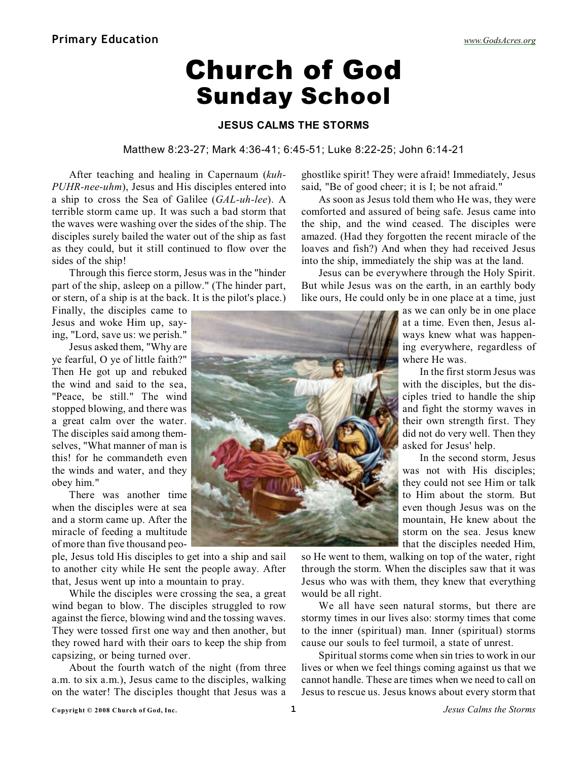# Church of God Sunday School

### **JESUS CALMS THE STORMS**

#### Matthew 8:23-27; Mark 4:36-41; 6:45-51; Luke 8:22-25; John 6:14-21

After teaching and healing in Capernaum (*kuh-PUHR-nee-uhm*), Jesus and His disciples entered into a ship to cross the Sea of Galilee (*GAL-uh-lee*). A terrible storm came up. It was such a bad storm that the waves were washing over the sides of the ship. The disciples surely bailed the water out of the ship as fast as they could, but it still continued to flow over the sides of the ship!

Through this fierce storm, Jesus was in the "hinder part of the ship, asleep on a pillow." (The hinder part, or stern, of a ship is at the back. It is the pilot's place.)

Finally, the disciples came to Jesus and woke Him up, saying, "Lord, save us: we perish."

Jesus asked them, "Why are ye fearful, O ye of little faith?" Then He got up and rebuked the wind and said to the sea, "Peace, be still." The wind stopped blowing, and there was a great calm over the water. The disciples said among themselves, "What manner of man is this! for he commandeth even the winds and water, and they obey him."

There was another time when the disciples were at sea and a storm came up. After the miracle of feeding a multitude of more than five thousand peo-

ple, Jesus told His disciples to get into a ship and sail to another city while He sent the people away. After that, Jesus went up into a mountain to pray.

While the disciples were crossing the sea, a great wind began to blow. The disciples struggled to row against the fierce, blowing wind and the tossing waves. They were tossed first one way and then another, but they rowed hard with their oars to keep the ship from capsizing, or being turned over.

About the fourth watch of the night (from three a.m. to six a.m.), Jesus came to the disciples, walking on the water! The disciples thought that Jesus was a

ghostlike spirit! They were afraid! Immediately, Jesus said, "Be of good cheer; it is I; be not afraid."

As soon as Jesus told them who He was, they were comforted and assured of being safe. Jesus came into the ship, and the wind ceased. The disciples were amazed. (Had they forgotten the recent miracle of the loaves and fish?) And when they had received Jesus into the ship, immediately the ship was at the land.

Jesus can be everywhere through the Holy Spirit. But while Jesus was on the earth, in an earthly body like ours, He could only be in one place at a time, just

> as we can only be in one place at a time. Even then, Jesus always knew what was happening everywhere, regardless of where He was.

> In the first storm Jesus was with the disciples, but the disciples tried to handle the ship and fight the stormy waves in their own strength first. They did not do very well. Then they asked for Jesus' help.

> In the second storm, Jesus was not with His disciples; they could not see Him or talk to Him about the storm. But even though Jesus was on the mountain, He knew about the storm on the sea. Jesus knew that the disciples needed Him,

so He went to them, walking on top of the water, right through the storm. When the disciples saw that it was Jesus who was with them, they knew that everything would be all right.

We all have seen natural storms, but there are stormy times in our lives also: stormy times that come to the inner (spiritual) man. Inner (spiritual) storms cause our souls to feel turmoil, a state of unrest.

Spiritual storms come when sin tries to work in our lives or when we feel things coming against us that we cannot handle. These are times when we need to call on Jesus to rescue us. Jesus knows about every storm that

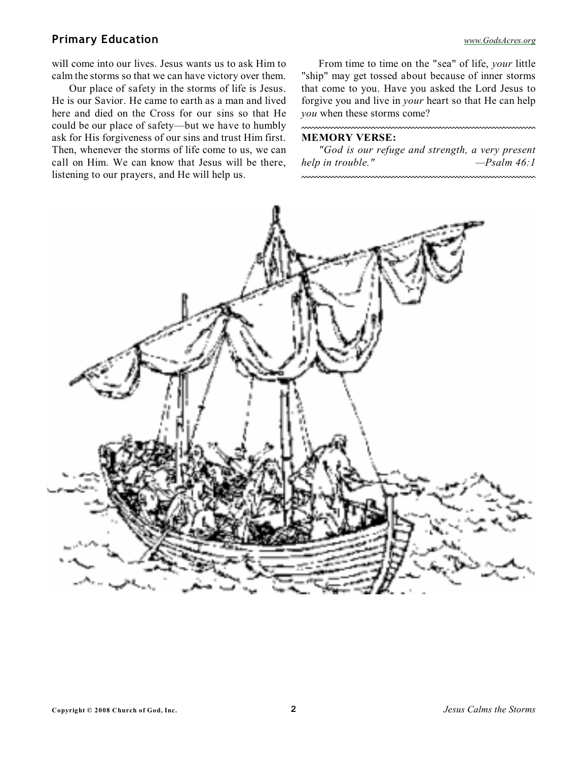### **Primary Education** *[www.GodsAcres.org](http://godsacres.org)*

will come into our lives. Jesus wants us to ask Him to calm the storms so that we can have victory over them.

Our place of safety in the storms of life is Jesus. He is our Savior. He came to earth as a man and lived here and died on the Cross for our sins so that He could be our place of safety—but we have to humbly ask for His forgiveness of our sins and trust Him first. Then, whenever the storms of life come to us, we can call on Him. We can know that Jesus will be there, listening to our prayers, and He will help us.

From time to time on the "sea" of life, *your* little "ship" may get tossed about because of inner storms that come to you. Have you asked the Lord Jesus to forgive you and live in *your* heart so that He can help *you* when these storms come?

#### **MEMORY VERSE:**

<u>mmmmmmmmmmmm</u>

*"God is our refuge and strength, a very present help in trouble." —Psalm 46:1*